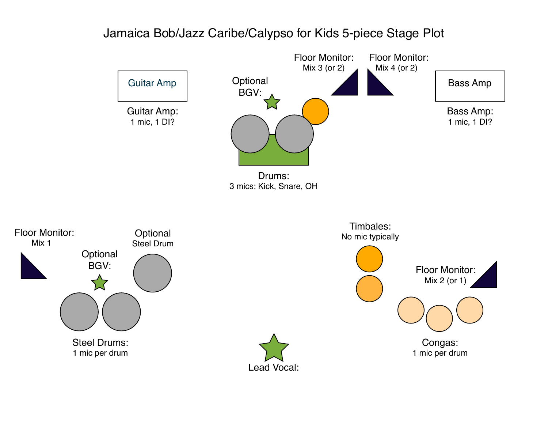## Jamaica Bob/Jazz Caribe/Calypso for Kids 5-piece Stage Plot



Congas: 1 mic per drum



Mix 1